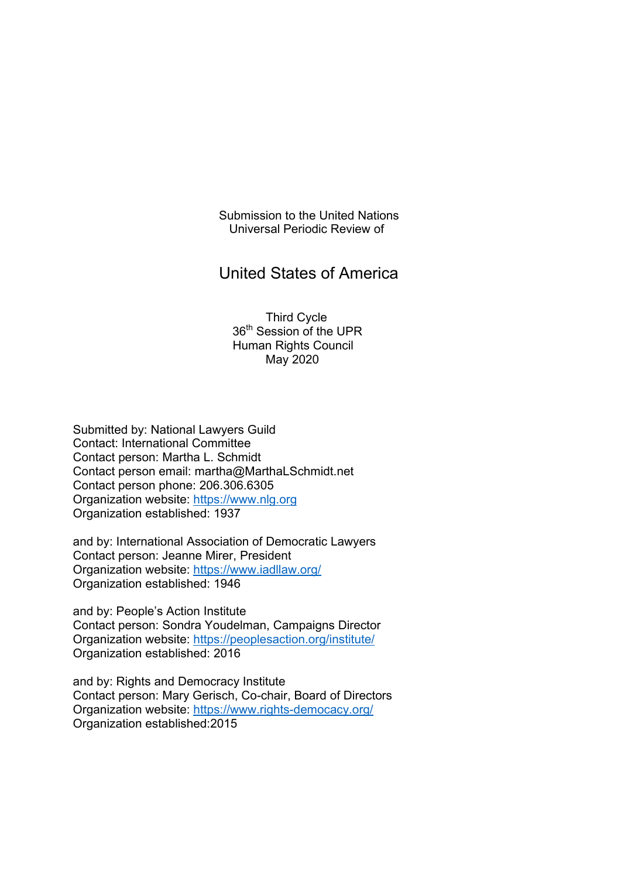Submission to the United Nations Universal Periodic Review of

# United States of America

 Third Cycle 36<sup>th</sup> Session of the UPR Human Rights Council May 2020

Submitted by: National Lawyers Guild Contact: International Committee Contact person: Martha L. Schmidt Contact person email: martha@MarthaLSchmidt.net Contact person phone: 206.306.6305 Organization website: https://www.nlg.org Organization established: 1937

and by: International Association of Democratic Lawyers Contact person: Jeanne Mirer, President Organization website: https://www.iadllaw.org/ Organization established: 1946

and by: People's Action Institute Contact person: Sondra Youdelman, Campaigns Director Organization website: https://peoplesaction.org/institute/ Organization established: 2016

and by: Rights and Democracy Institute Contact person: Mary Gerisch, Co-chair, Board of Directors Organization website: https://www.rights-democacy.org/ Organization established:2015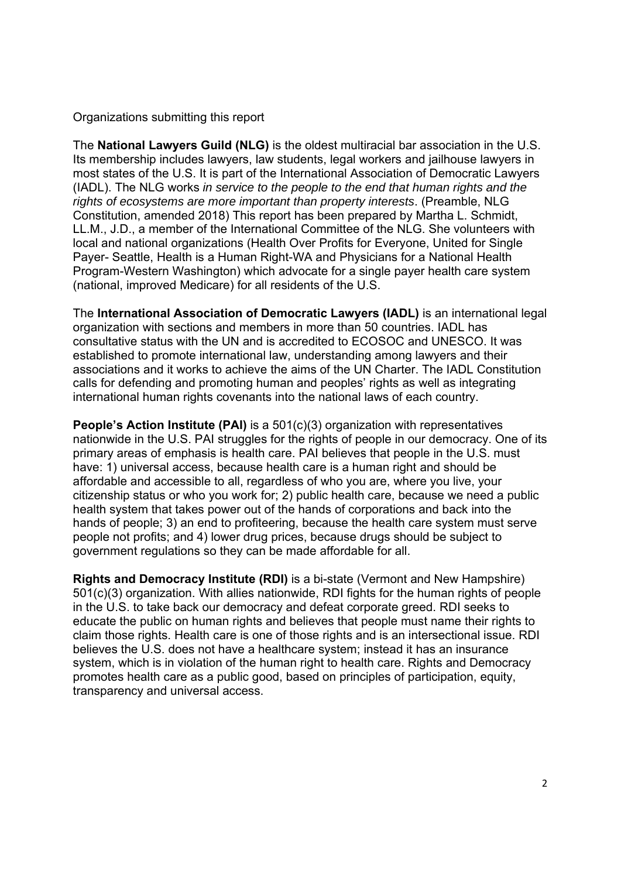Organizations submitting this report

The **National Lawyers Guild (NLG)** is the oldest multiracial bar association in the U.S. Its membership includes lawyers, law students, legal workers and jailhouse lawyers in most states of the U.S. It is part of the International Association of Democratic Lawyers (IADL). The NLG works *in service to the people to the end that human rights and the rights of ecosystems are more important than property interests*. (Preamble, NLG Constitution, amended 2018) This report has been prepared by Martha L. Schmidt, LL.M., J.D., a member of the International Committee of the NLG. She volunteers with local and national organizations (Health Over Profits for Everyone, United for Single Payer- Seattle, Health is a Human Right-WA and Physicians for a National Health Program-Western Washington) which advocate for a single payer health care system (national, improved Medicare) for all residents of the U.S.

The **International Association of Democratic Lawyers (IADL)** is an international legal organization with sections and members in more than 50 countries. IADL has consultative status with the UN and is accredited to ECOSOC and UNESCO. It was established to promote international law, understanding among lawyers and their associations and it works to achieve the aims of the UN Charter. The IADL Constitution calls for defending and promoting human and peoples' rights as well as integrating international human rights covenants into the national laws of each country.

**People's Action Institute (PAI)** is a 501(c)(3) organization with representatives nationwide in the U.S. PAI struggles for the rights of people in our democracy. One of its primary areas of emphasis is health care. PAI believes that people in the U.S. must have: 1) universal access, because health care is a human right and should be affordable and accessible to all, regardless of who you are, where you live, your citizenship status or who you work for; 2) public health care, because we need a public health system that takes power out of the hands of corporations and back into the hands of people; 3) an end to profiteering, because the health care system must serve people not profits; and 4) lower drug prices, because drugs should be subject to government regulations so they can be made affordable for all.

**Rights and Democracy Institute (RDI)** is a bi-state (Vermont and New Hampshire) 501(c)(3) organization. With allies nationwide, RDI fights for the human rights of people in the U.S. to take back our democracy and defeat corporate greed. RDI seeks to educate the public on human rights and believes that people must name their rights to claim those rights. Health care is one of those rights and is an intersectional issue. RDI believes the U.S. does not have a healthcare system; instead it has an insurance system, which is in violation of the human right to health care. Rights and Democracy promotes health care as a public good, based on principles of participation, equity, transparency and universal access.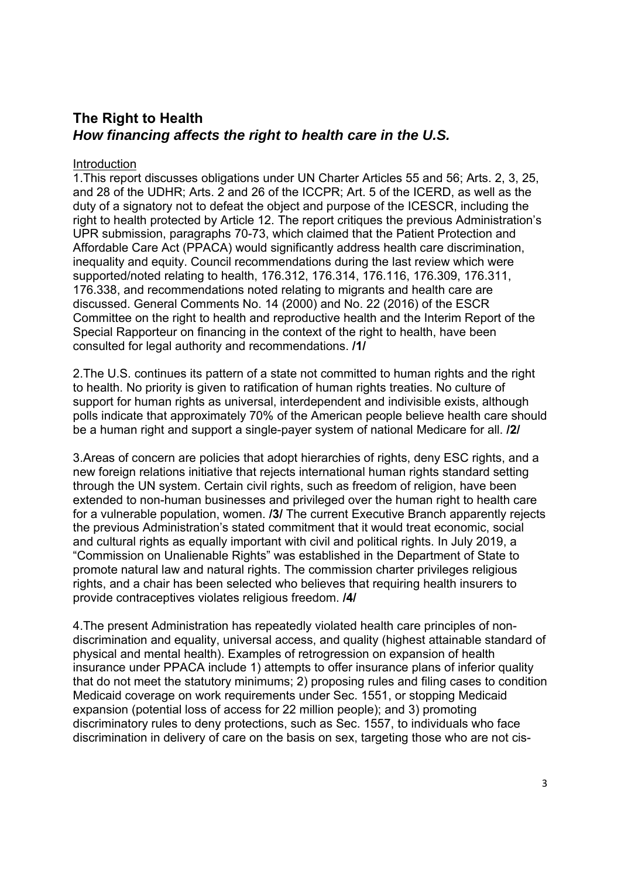# **The Right to Health**  *How financing affects the right to health care in the U.S.*

## Introduction

1.This report discusses obligations under UN Charter Articles 55 and 56; Arts. 2, 3, 25, and 28 of the UDHR; Arts. 2 and 26 of the ICCPR; Art. 5 of the ICERD, as well as the duty of a signatory not to defeat the object and purpose of the ICESCR, including the right to health protected by Article 12. The report critiques the previous Administration's UPR submission, paragraphs 70-73, which claimed that the Patient Protection and Affordable Care Act (PPACA) would significantly address health care discrimination, inequality and equity. Council recommendations during the last review which were supported/noted relating to health, 176.312, 176.314, 176.116, 176.309, 176.311, 176.338, and recommendations noted relating to migrants and health care are discussed. General Comments No. 14 (2000) and No. 22 (2016) of the ESCR Committee on the right to health and reproductive health and the Interim Report of the Special Rapporteur on financing in the context of the right to health, have been consulted for legal authority and recommendations. **/1/**

2.The U.S. continues its pattern of a state not committed to human rights and the right to health. No priority is given to ratification of human rights treaties. No culture of support for human rights as universal, interdependent and indivisible exists, although polls indicate that approximately 70% of the American people believe health care should be a human right and support a single-payer system of national Medicare for all. **/2/**

3.Areas of concern are policies that adopt hierarchies of rights, deny ESC rights, and a new foreign relations initiative that rejects international human rights standard setting through the UN system. Certain civil rights, such as freedom of religion, have been extended to non-human businesses and privileged over the human right to health care for a vulnerable population, women. **/3/** The current Executive Branch apparently rejects the previous Administration's stated commitment that it would treat economic, social and cultural rights as equally important with civil and political rights. In July 2019, a "Commission on Unalienable Rights" was established in the Department of State to promote natural law and natural rights. The commission charter privileges religious rights, and a chair has been selected who believes that requiring health insurers to provide contraceptives violates religious freedom. **/4/**

4.The present Administration has repeatedly violated health care principles of nondiscrimination and equality, universal access, and quality (highest attainable standard of physical and mental health). Examples of retrogression on expansion of health insurance under PPACA include 1) attempts to offer insurance plans of inferior quality that do not meet the statutory minimums; 2) proposing rules and filing cases to condition Medicaid coverage on work requirements under Sec. 1551, or stopping Medicaid expansion (potential loss of access for 22 million people); and 3) promoting discriminatory rules to deny protections, such as Sec. 1557, to individuals who face discrimination in delivery of care on the basis on sex, targeting those who are not cis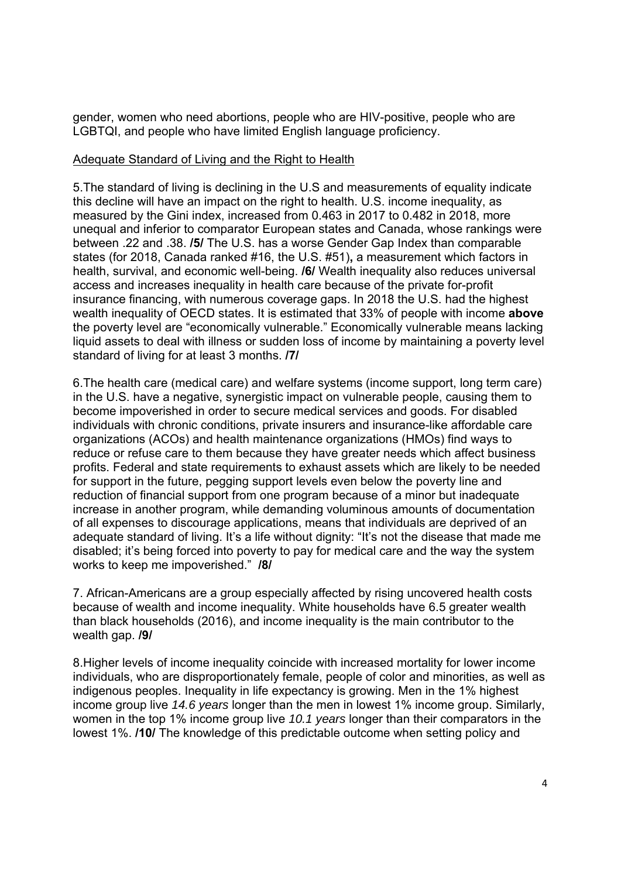gender, women who need abortions, people who are HIV-positive, people who are LGBTQI, and people who have limited English language proficiency.

# Adequate Standard of Living and the Right to Health

5.The standard of living is declining in the U.S and measurements of equality indicate this decline will have an impact on the right to health. U.S. income inequality, as measured by the Gini index, increased from 0.463 in 2017 to 0.482 in 2018, more unequal and inferior to comparator European states and Canada, whose rankings were between .22 and .38. **/5/** The U.S. has a worse Gender Gap Index than comparable states (for 2018, Canada ranked #16, the U.S. #51)**,** a measurement which factors in health, survival, and economic well-being. **/6/** Wealth inequality also reduces universal access and increases inequality in health care because of the private for-profit insurance financing, with numerous coverage gaps. In 2018 the U.S. had the highest wealth inequality of OECD states. It is estimated that 33% of people with income **above** the poverty level are "economically vulnerable." Economically vulnerable means lacking liquid assets to deal with illness or sudden loss of income by maintaining a poverty level standard of living for at least 3 months. **/7/**

6.The health care (medical care) and welfare systems (income support, long term care) in the U.S. have a negative, synergistic impact on vulnerable people, causing them to become impoverished in order to secure medical services and goods. For disabled individuals with chronic conditions, private insurers and insurance-like affordable care organizations (ACOs) and health maintenance organizations (HMOs) find ways to reduce or refuse care to them because they have greater needs which affect business profits. Federal and state requirements to exhaust assets which are likely to be needed for support in the future, pegging support levels even below the poverty line and reduction of financial support from one program because of a minor but inadequate increase in another program, while demanding voluminous amounts of documentation of all expenses to discourage applications, means that individuals are deprived of an adequate standard of living. It's a life without dignity: "It's not the disease that made me disabled; it's being forced into poverty to pay for medical care and the way the system works to keep me impoverished." **/8/**

7. African-Americans are a group especially affected by rising uncovered health costs because of wealth and income inequality. White households have 6.5 greater wealth than black households (2016), and income inequality is the main contributor to the wealth gap. **/9/**

8.Higher levels of income inequality coincide with increased mortality for lower income individuals, who are disproportionately female, people of color and minorities, as well as indigenous peoples. Inequality in life expectancy is growing. Men in the 1% highest income group live *14.6 years* longer than the men in lowest 1% income group. Similarly, women in the top 1% income group live *10.1 years* longer than their comparators in the lowest 1%. **/10/** The knowledge of this predictable outcome when setting policy and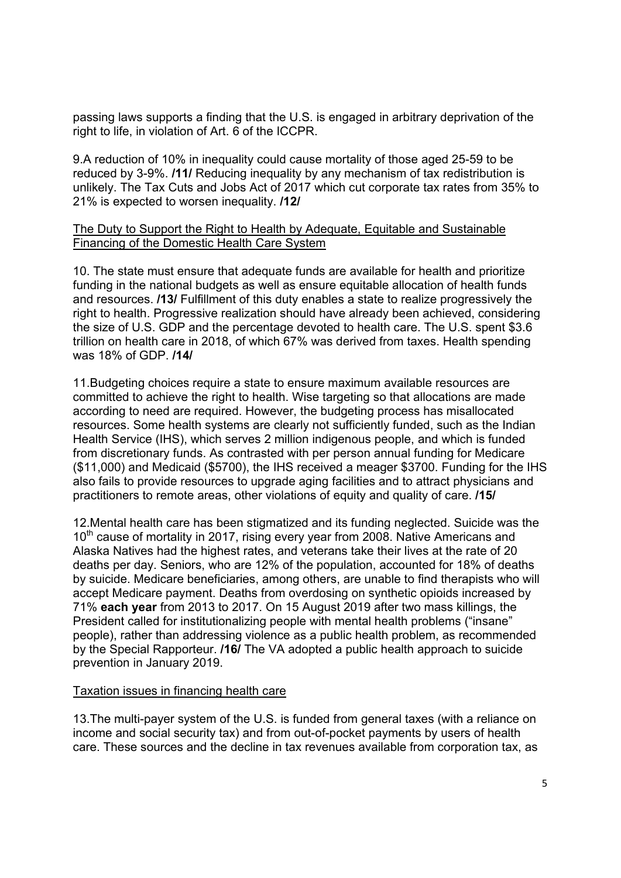passing laws supports a finding that the U.S. is engaged in arbitrary deprivation of the right to life, in violation of Art. 6 of the ICCPR.

9.A reduction of 10% in inequality could cause mortality of those aged 25-59 to be reduced by 3-9%. **/11/** Reducing inequality by any mechanism of tax redistribution is unlikely. The Tax Cuts and Jobs Act of 2017 which cut corporate tax rates from 35% to 21% is expected to worsen inequality. **/12/**

## The Duty to Support the Right to Health by Adequate, Equitable and Sustainable Financing of the Domestic Health Care System

10. The state must ensure that adequate funds are available for health and prioritize funding in the national budgets as well as ensure equitable allocation of health funds and resources. **/13/** Fulfillment of this duty enables a state to realize progressively the right to health. Progressive realization should have already been achieved, considering the size of U.S. GDP and the percentage devoted to health care. The U.S. spent \$3.6 trillion on health care in 2018, of which 67% was derived from taxes. Health spending was 18% of GDP. **/14/**

11.Budgeting choices require a state to ensure maximum available resources are committed to achieve the right to health. Wise targeting so that allocations are made according to need are required. However, the budgeting process has misallocated resources. Some health systems are clearly not sufficiently funded, such as the Indian Health Service (IHS), which serves 2 million indigenous people, and which is funded from discretionary funds. As contrasted with per person annual funding for Medicare (\$11,000) and Medicaid (\$5700), the IHS received a meager \$3700. Funding for the IHS also fails to provide resources to upgrade aging facilities and to attract physicians and practitioners to remote areas, other violations of equity and quality of care. **/15/**

12.Mental health care has been stigmatized and its funding neglected. Suicide was the 10<sup>th</sup> cause of mortality in 2017, rising every year from 2008. Native Americans and Alaska Natives had the highest rates, and veterans take their lives at the rate of 20 deaths per day. Seniors, who are 12% of the population, accounted for 18% of deaths by suicide. Medicare beneficiaries, among others, are unable to find therapists who will accept Medicare payment. Deaths from overdosing on synthetic opioids increased by 71% **each year** from 2013 to 2017. On 15 August 2019 after two mass killings, the President called for institutionalizing people with mental health problems ("insane" people), rather than addressing violence as a public health problem, as recommended by the Special Rapporteur. **/16/** The VA adopted a public health approach to suicide prevention in January 2019.

### Taxation issues in financing health care

13.The multi-payer system of the U.S. is funded from general taxes (with a reliance on income and social security tax) and from out-of-pocket payments by users of health care. These sources and the decline in tax revenues available from corporation tax, as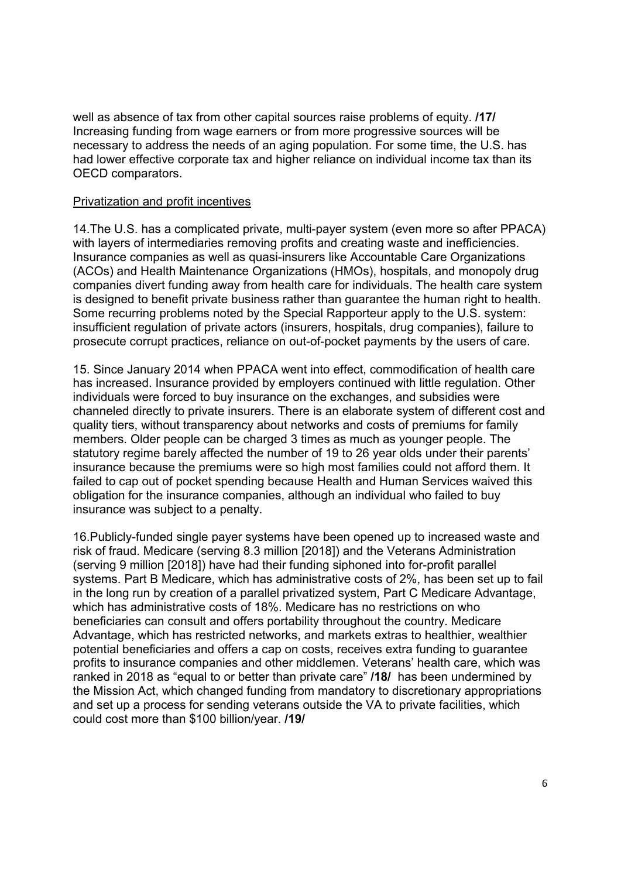well as absence of tax from other capital sources raise problems of equity. **/17/** Increasing funding from wage earners or from more progressive sources will be necessary to address the needs of an aging population. For some time, the U.S. has had lower effective corporate tax and higher reliance on individual income tax than its OECD comparators.

### Privatization and profit incentives

14.The U.S. has a complicated private, multi-payer system (even more so after PPACA) with layers of intermediaries removing profits and creating waste and inefficiencies. Insurance companies as well as quasi-insurers like Accountable Care Organizations (ACOs) and Health Maintenance Organizations (HMOs), hospitals, and monopoly drug companies divert funding away from health care for individuals. The health care system is designed to benefit private business rather than guarantee the human right to health. Some recurring problems noted by the Special Rapporteur apply to the U.S. system: insufficient regulation of private actors (insurers, hospitals, drug companies), failure to prosecute corrupt practices, reliance on out-of-pocket payments by the users of care.

15. Since January 2014 when PPACA went into effect, commodification of health care has increased. Insurance provided by employers continued with little regulation. Other individuals were forced to buy insurance on the exchanges, and subsidies were channeled directly to private insurers. There is an elaborate system of different cost and quality tiers, without transparency about networks and costs of premiums for family members. Older people can be charged 3 times as much as younger people. The statutory regime barely affected the number of 19 to 26 year olds under their parents' insurance because the premiums were so high most families could not afford them. It failed to cap out of pocket spending because Health and Human Services waived this obligation for the insurance companies, although an individual who failed to buy insurance was subject to a penalty.

16.Publicly-funded single payer systems have been opened up to increased waste and risk of fraud. Medicare (serving 8.3 million [2018]) and the Veterans Administration (serving 9 million [2018]) have had their funding siphoned into for-profit parallel systems. Part B Medicare, which has administrative costs of 2%, has been set up to fail in the long run by creation of a parallel privatized system, Part C Medicare Advantage, which has administrative costs of 18%. Medicare has no restrictions on who beneficiaries can consult and offers portability throughout the country. Medicare Advantage, which has restricted networks, and markets extras to healthier, wealthier potential beneficiaries and offers a cap on costs, receives extra funding to guarantee profits to insurance companies and other middlemen. Veterans' health care, which was ranked in 2018 as "equal to or better than private care" **/18/** has been undermined by the Mission Act, which changed funding from mandatory to discretionary appropriations and set up a process for sending veterans outside the VA to private facilities, which could cost more than \$100 billion/year. **/19/**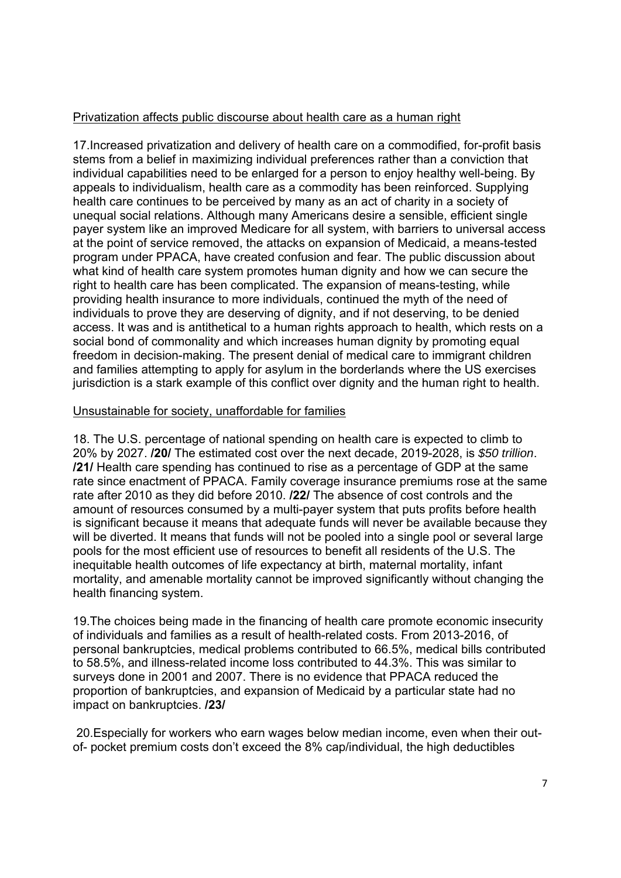# Privatization affects public discourse about health care as a human right

17.Increased privatization and delivery of health care on a commodified, for-profit basis stems from a belief in maximizing individual preferences rather than a conviction that individual capabilities need to be enlarged for a person to enjoy healthy well-being. By appeals to individualism, health care as a commodity has been reinforced. Supplying health care continues to be perceived by many as an act of charity in a society of unequal social relations. Although many Americans desire a sensible, efficient single payer system like an improved Medicare for all system, with barriers to universal access at the point of service removed, the attacks on expansion of Medicaid, a means-tested program under PPACA, have created confusion and fear. The public discussion about what kind of health care system promotes human dignity and how we can secure the right to health care has been complicated. The expansion of means-testing, while providing health insurance to more individuals, continued the myth of the need of individuals to prove they are deserving of dignity, and if not deserving, to be denied access. It was and is antithetical to a human rights approach to health, which rests on a social bond of commonality and which increases human dignity by promoting equal freedom in decision-making. The present denial of medical care to immigrant children and families attempting to apply for asylum in the borderlands where the US exercises jurisdiction is a stark example of this conflict over dignity and the human right to health.

### Unsustainable for society, unaffordable for families

18. The U.S. percentage of national spending on health care is expected to climb to 20% by 2027. **/20/** The estimated cost over the next decade, 2019-2028, is *\$50 trillion*. **/21/** Health care spending has continued to rise as a percentage of GDP at the same rate since enactment of PPACA. Family coverage insurance premiums rose at the same rate after 2010 as they did before 2010. **/22/** The absence of cost controls and the amount of resources consumed by a multi-payer system that puts profits before health is significant because it means that adequate funds will never be available because they will be diverted. It means that funds will not be pooled into a single pool or several large pools for the most efficient use of resources to benefit all residents of the U.S. The inequitable health outcomes of life expectancy at birth, maternal mortality, infant mortality, and amenable mortality cannot be improved significantly without changing the health financing system.

19.The choices being made in the financing of health care promote economic insecurity of individuals and families as a result of health-related costs. From 2013-2016, of personal bankruptcies, medical problems contributed to 66.5%, medical bills contributed to 58.5%, and illness-related income loss contributed to 44.3%. This was similar to surveys done in 2001 and 2007. There is no evidence that PPACA reduced the proportion of bankruptcies, and expansion of Medicaid by a particular state had no impact on bankruptcies. **/23/**

 20.Especially for workers who earn wages below median income, even when their outof- pocket premium costs don't exceed the 8% cap/individual, the high deductibles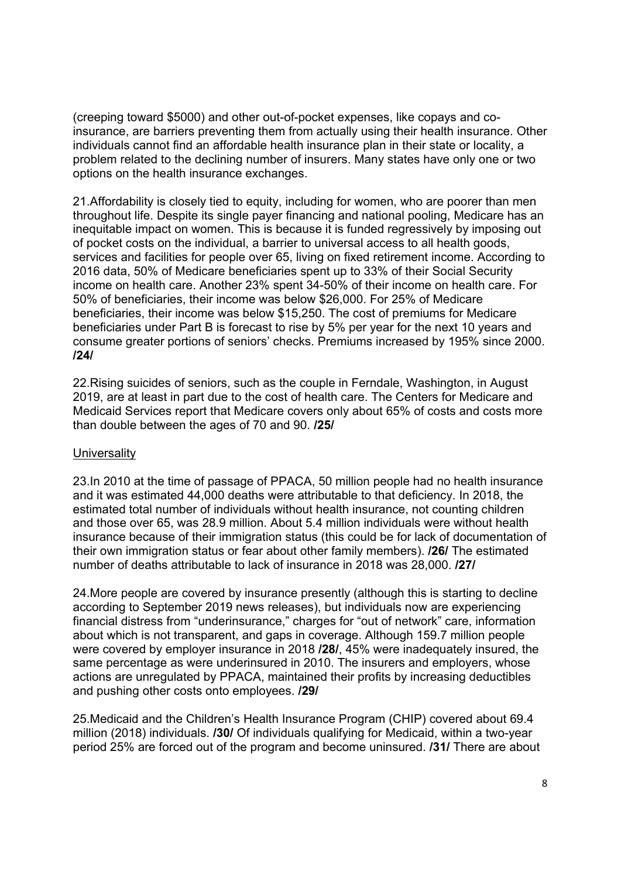(creeping toward \$5000) and other out-of-pocket expenses, like copays and coinsurance, are barriers preventing them from actually using their health insurance. Other individuals cannot find an affordable health insurance plan in their state or locality, a problem related to the declining number of insurers. Many states have only one or two options on the health insurance exchanges.

21.Affordability is closely tied to equity, including for women, who are poorer than men throughout life. Despite its single payer financing and national pooling, Medicare has an inequitable impact on women. This is because it is funded regressively by imposing out of pocket costs on the individual, a barrier to universal access to all health goods, services and facilities for people over 65, living on fixed retirement income. According to 2016 data, 50% of Medicare beneficiaries spent up to 33% of their Social Security income on health care. Another 23% spent 34-50% of their income on health care. For 50% of beneficiaries, their income was below \$26,000. For 25% of Medicare beneficiaries, their income was below \$15,250. The cost of premiums for Medicare beneficiaries under Part B is forecast to rise by 5% per year for the next 10 years and consume greater portions of seniors' checks. Premiums increased by 195% since 2000. **/24/**

22.Rising suicides of seniors, such as the couple in Ferndale, Washington, in August 2019, are at least in part due to the cost of health care. The Centers for Medicare and Medicaid Services report that Medicare covers only about 65% of costs and costs more than double between the ages of 70 and 90. **/25/**

# **Universality**

23.In 2010 at the time of passage of PPACA, 50 million people had no health insurance and it was estimated 44,000 deaths were attributable to that deficiency. In 2018, the estimated total number of individuals without health insurance, not counting children and those over 65, was 28.9 million. About 5.4 million individuals were without health insurance because of their immigration status (this could be for lack of documentation of their own immigration status or fear about other family members). **/26/** The estimated number of deaths attributable to lack of insurance in 2018 was 28,000. **/27/**

24.More people are covered by insurance presently (although this is starting to decline according to September 2019 news releases), but individuals now are experiencing financial distress from "underinsurance," charges for "out of network" care, information about which is not transparent, and gaps in coverage. Although 159.7 million people were covered by employer insurance in 2018 **/28/**, 45% were inadequately insured, the same percentage as were underinsured in 2010. The insurers and employers, whose actions are unregulated by PPACA, maintained their profits by increasing deductibles and pushing other costs onto employees. **/29/**

25.Medicaid and the Children's Health Insurance Program (CHIP) covered about 69.4 million (2018) individuals. **/30/** Of individuals qualifying for Medicaid, within a two-year period 25% are forced out of the program and become uninsured. **/31/** There are about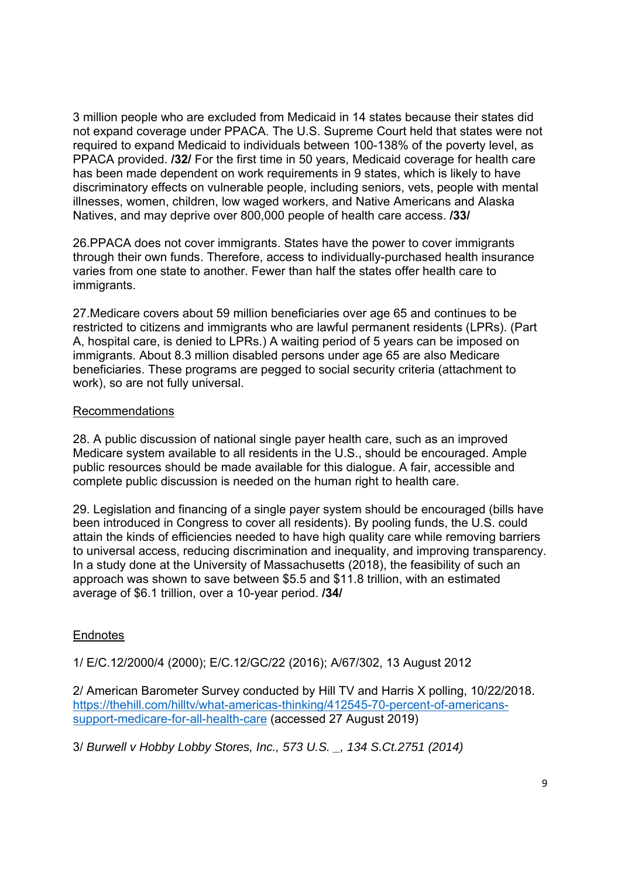3 million people who are excluded from Medicaid in 14 states because their states did not expand coverage under PPACA. The U.S. Supreme Court held that states were not required to expand Medicaid to individuals between 100-138% of the poverty level, as PPACA provided. **/32/** For the first time in 50 years, Medicaid coverage for health care has been made dependent on work requirements in 9 states, which is likely to have discriminatory effects on vulnerable people, including seniors, vets, people with mental illnesses, women, children, low waged workers, and Native Americans and Alaska Natives, and may deprive over 800,000 people of health care access. **/33/**

26.PPACA does not cover immigrants. States have the power to cover immigrants through their own funds. Therefore, access to individually-purchased health insurance varies from one state to another. Fewer than half the states offer health care to immigrants.

27.Medicare covers about 59 million beneficiaries over age 65 and continues to be restricted to citizens and immigrants who are lawful permanent residents (LPRs). (Part A, hospital care, is denied to LPRs.) A waiting period of 5 years can be imposed on immigrants. About 8.3 million disabled persons under age 65 are also Medicare beneficiaries. These programs are pegged to social security criteria (attachment to work), so are not fully universal.

### Recommendations

28. A public discussion of national single payer health care, such as an improved Medicare system available to all residents in the U.S., should be encouraged. Ample public resources should be made available for this dialogue. A fair, accessible and complete public discussion is needed on the human right to health care.

29. Legislation and financing of a single payer system should be encouraged (bills have been introduced in Congress to cover all residents). By pooling funds, the U.S. could attain the kinds of efficiencies needed to have high quality care while removing barriers to universal access, reducing discrimination and inequality, and improving transparency. In a study done at the University of Massachusetts (2018), the feasibility of such an approach was shown to save between \$5.5 and \$11.8 trillion, with an estimated average of \$6.1 trillion, over a 10-year period. **/34/**

# **Endnotes**

1/ E/C.12/2000/4 (2000); E/C.12/GC/22 (2016); A/67/302, 13 August 2012

2/ American Barometer Survey conducted by Hill TV and Harris X polling, 10/22/2018. https://thehill.com/hilltv/what-americas-thinking/412545-70-percent-of-americanssupport-medicare-for-all-health-care (accessed 27 August 2019)

3/ *Burwell v Hobby Lobby Stores, Inc., 573 U.S. \_, 134 S.Ct.2751 (2014)*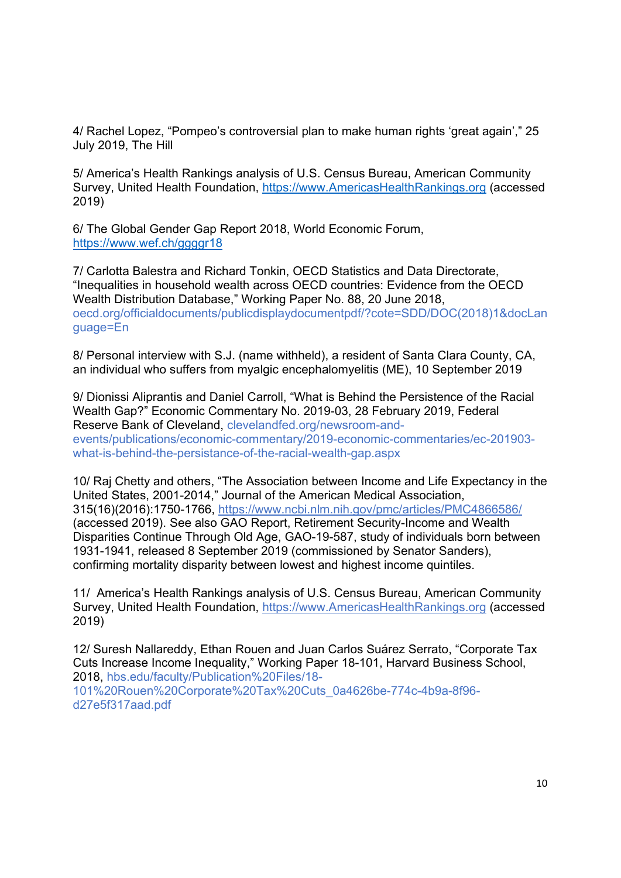4/ Rachel Lopez, "Pompeo's controversial plan to make human rights 'great again'," 25 July 2019, The Hill

5/ America's Health Rankings analysis of U.S. Census Bureau, American Community Survey, United Health Foundation, https://www.AmericasHealthRankings.org (accessed 2019)

6/ The Global Gender Gap Report 2018, World Economic Forum, https://www.wef.ch/ggggr18

7/ Carlotta Balestra and Richard Tonkin, OECD Statistics and Data Directorate, "Inequalities in household wealth across OECD countries: Evidence from the OECD Wealth Distribution Database," Working Paper No. 88, 20 June 2018, oecd.org/officialdocuments/publicdisplaydocumentpdf/?cote=SDD/DOC(2018)1&docLan guage=En

8/ Personal interview with S.J. (name withheld), a resident of Santa Clara County, CA, an individual who suffers from myalgic encephalomyelitis (ME), 10 September 2019

9/ Dionissi Aliprantis and Daniel Carroll, "What is Behind the Persistence of the Racial Wealth Gap?" Economic Commentary No. 2019-03, 28 February 2019, Federal Reserve Bank of Cleveland, clevelandfed.org/newsroom-andevents/publications/economic-commentary/2019-economic-commentaries/ec-201903 what-is-behind-the-persistance-of-the-racial-wealth-gap.aspx

10/ Raj Chetty and others, "The Association between Income and Life Expectancy in the United States, 2001-2014," Journal of the American Medical Association, 315(16)(2016):1750-1766, https://www.ncbi.nlm.nih.gov/pmc/articles/PMC4866586/ (accessed 2019). See also GAO Report, Retirement Security-Income and Wealth Disparities Continue Through Old Age, GAO-19-587, study of individuals born between 1931-1941, released 8 September 2019 (commissioned by Senator Sanders), confirming mortality disparity between lowest and highest income quintiles.

11/ America's Health Rankings analysis of U.S. Census Bureau, American Community Survey, United Health Foundation, https://www.AmericasHealthRankings.org (accessed 2019)

12/ Suresh Nallareddy, Ethan Rouen and Juan Carlos Suárez Serrato, "Corporate Tax Cuts Increase Income Inequality," Working Paper 18-101, Harvard Business School, 2018, hbs.edu/faculty/Publication%20Files/18- 101%20Rouen%20Corporate%20Tax%20Cuts\_0a4626be-774c-4b9a-8f96 d27e5f317aad.pdf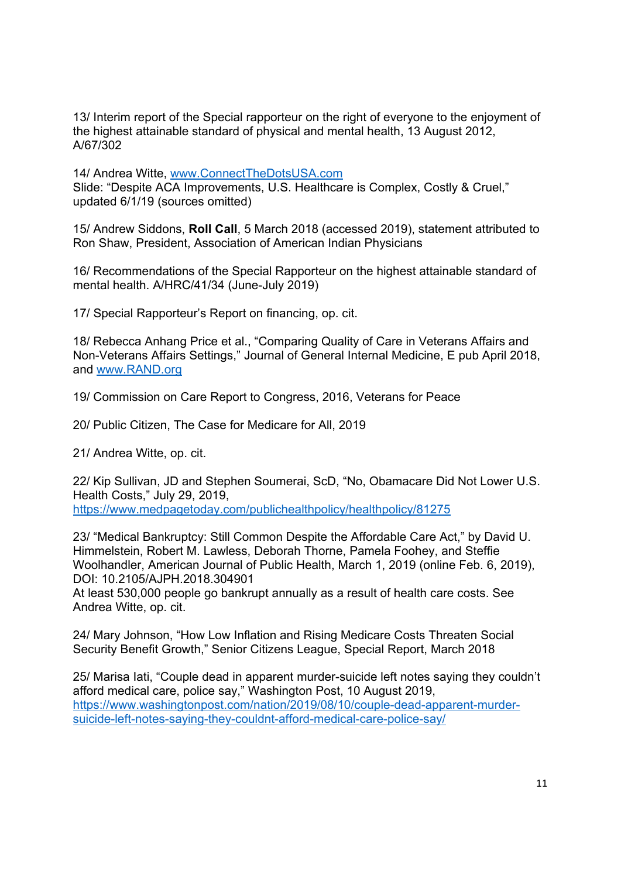13/ Interim report of the Special rapporteur on the right of everyone to the enjoyment of the highest attainable standard of physical and mental health, 13 August 2012, A/67/302

14/ Andrea Witte, www.ConnectTheDotsUSA.com

Slide: "Despite ACA Improvements, U.S. Healthcare is Complex, Costly & Cruel," updated 6/1/19 (sources omitted)

15/ Andrew Siddons, **Roll Call**, 5 March 2018 (accessed 2019), statement attributed to Ron Shaw, President, Association of American Indian Physicians

16/ Recommendations of the Special Rapporteur on the highest attainable standard of mental health. A/HRC/41/34 (June-July 2019)

17/ Special Rapporteur's Report on financing, op. cit.

18/ Rebecca Anhang Price et al., "Comparing Quality of Care in Veterans Affairs and Non-Veterans Affairs Settings," Journal of General Internal Medicine, E pub April 2018, and www.RAND.org

19/ Commission on Care Report to Congress, 2016, Veterans for Peace

20/ Public Citizen, The Case for Medicare for All, 2019

21/ Andrea Witte, op. cit.

22/ Kip Sullivan, JD and Stephen Soumerai, ScD, "No, Obamacare Did Not Lower U.S. Health Costs," July 29, 2019, https://www.medpagetoday.com/publichealthpolicy/healthpolicy/81275

23/ "Medical Bankruptcy: Still Common Despite the Affordable Care Act," by David U. Himmelstein, Robert M. Lawless, Deborah Thorne, Pamela Foohey, and Steffie Woolhandler, American Journal of Public Health, March 1, 2019 (online Feb. 6, 2019), DOI: 10.2105/AJPH.2018.304901

At least 530,000 people go bankrupt annually as a result of health care costs. See Andrea Witte, op. cit.

24/ Mary Johnson, "How Low Inflation and Rising Medicare Costs Threaten Social Security Benefit Growth," Senior Citizens League, Special Report, March 2018

25/ Marisa Iati, "Couple dead in apparent murder-suicide left notes saying they couldn't afford medical care, police say," Washington Post, 10 August 2019, https://www.washingtonpost.com/nation/2019/08/10/couple-dead-apparent-murdersuicide-left-notes-saying-they-couldnt-afford-medical-care-police-say/